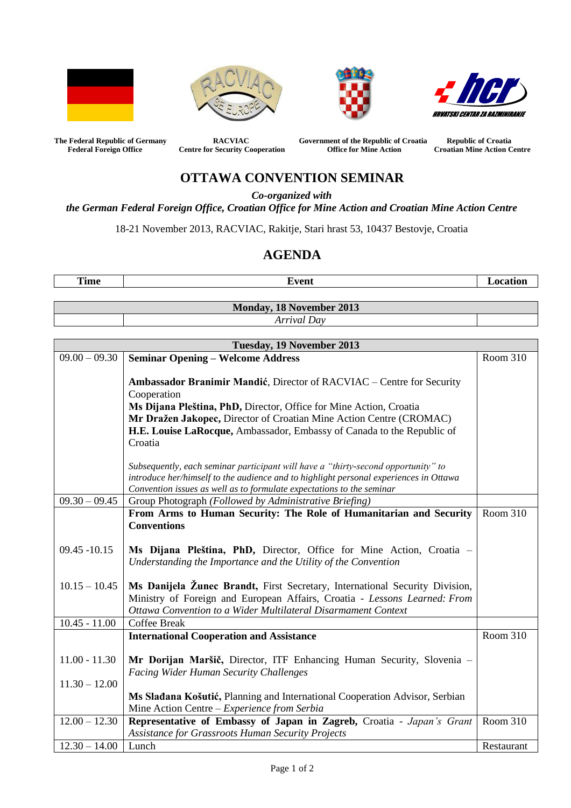







The Federal Republic of Germany **RACVIAC** Government of the Republic of Croatia Republic of Croatia Federal Foreign Office **Croatia** Centre for Security Cooperation Office for Mine Action Croatian Mine Action C **Centre for Security Cooperation Office for Mine Action Croatian Mine Action Centre** 

## **OTTAWA CONVENTION SEMINAR**

*Co-organized with*

*the German Federal Foreign Office, Croatian Office for Mine Action and Croatian Mine Action Centre*

18-21 November 2013, RACVIAC, Rakitje, Stari hrast 53, 10437 Bestovje, Croatia

## **AGENDA**

**Time Event Event Exercise 1 Location Monday, 18 November 2013**

*Arrival Day*

|                 | Tuesday, 19 November 2013                                                                                                                                                                                                                                                                                              |            |
|-----------------|------------------------------------------------------------------------------------------------------------------------------------------------------------------------------------------------------------------------------------------------------------------------------------------------------------------------|------------|
| $09.00 - 09.30$ | <b>Seminar Opening - Welcome Address</b>                                                                                                                                                                                                                                                                               | Room 310   |
|                 | Ambassador Branimir Mandić, Director of RACVIAC - Centre for Security<br>Cooperation<br>Ms Dijana Pleština, PhD, Director, Office for Mine Action, Croatia<br>Mr Dražen Jakopec, Director of Croatian Mine Action Centre (CROMAC)<br>H.E. Louise LaRocque, Ambassador, Embassy of Canada to the Republic of<br>Croatia |            |
|                 | Subsequently, each seminar participant will have a "thirty-second opportunity" to<br>introduce her/himself to the audience and to highlight personal experiences in Ottawa<br>Convention issues as well as to formulate expectations to the seminar                                                                    |            |
| $09.30 - 09.45$ | Group Photograph (Followed by Administrative Briefing)                                                                                                                                                                                                                                                                 |            |
| $09.45 - 10.15$ | From Arms to Human Security: The Role of Humanitarian and Security<br><b>Conventions</b><br>Ms Dijana Pleština, PhD, Director, Office for Mine Action, Croatia -                                                                                                                                                       | Room 310   |
| $10.15 - 10.45$ | Understanding the Importance and the Utility of the Convention<br>Ms Danijela Žunec Brandt, First Secretary, International Security Division,<br>Ministry of Foreign and European Affairs, Croatia - Lessons Learned: From<br>Ottawa Convention to a Wider Multilateral Disarmament Context                            |            |
| $10.45 - 11.00$ | <b>Coffee Break</b>                                                                                                                                                                                                                                                                                                    |            |
| $11.00 - 11.30$ | <b>International Cooperation and Assistance</b><br>Mr Dorijan Maršič, Director, ITF Enhancing Human Security, Slovenia -<br><b>Facing Wider Human Security Challenges</b>                                                                                                                                              | Room 310   |
| $11.30 - 12.00$ |                                                                                                                                                                                                                                                                                                                        |            |
|                 | Ms Sladana Košutić, Planning and International Cooperation Advisor, Serbian<br>Mine Action Centre - Experience from Serbia                                                                                                                                                                                             |            |
| $12.00 - 12.30$ | Representative of Embassy of Japan in Zagreb, Croatia - Japan's Grant                                                                                                                                                                                                                                                  | Room 310   |
|                 | <b>Assistance for Grassroots Human Security Projects</b>                                                                                                                                                                                                                                                               |            |
| $12.30 - 14.00$ | Lunch                                                                                                                                                                                                                                                                                                                  | Restaurant |